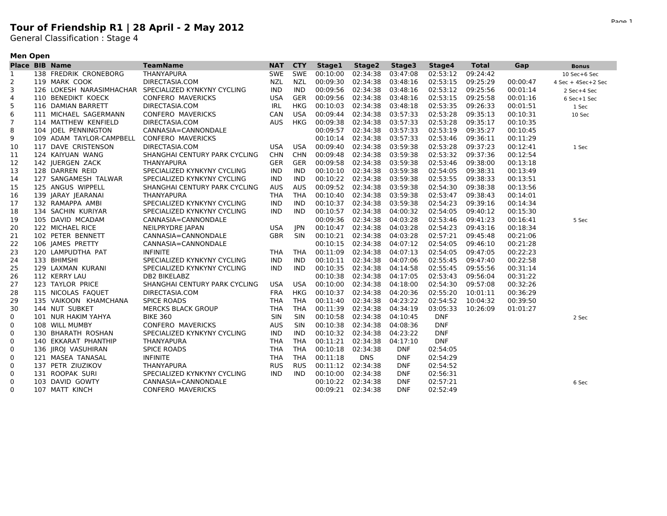## **Tour of Friendship R1 | 28 April - 2 May 2012**

General Classification : Stage 4

## **Men Open**

|              | <b>Place BIB Name</b>    | <b>TeamName</b>               | <b>NAT</b> | <b>CTY</b> | Stage1            | Stage2     | Stage3     | Stage4     | <b>Total</b> | Gap      | <b>Bonus</b>       |
|--------------|--------------------------|-------------------------------|------------|------------|-------------------|------------|------------|------------|--------------|----------|--------------------|
| $\mathbf{1}$ | 138 FREDRIK CRONEBORG    | THANYAPURA                    | <b>SWE</b> | <b>SWE</b> | 00:10:00          | 02:34:38   | 03:47:08   | 02:53:12   | 09:24:42     |          | 10 Sec+6 Sec       |
| 2            | 119 MARK COOK            | DIRECTASIA.COM                | NZL        | <b>NZL</b> | 00:09:30          | 02:34:38   | 03:48:16   | 02:53:15   | 09:25:29     | 00:00:47 | 4 Sec + 4Sec+2 Sec |
| 3            | 126 LOKESH NARASIMHACHAR | SPECIALIZED KYNKYNY CYCLING   | IND.       | IND        | 00:09:56          | 02:34:38   | 03:48:16   | 02:53:12   | 09:25:56     | 00:01:14 | 2 Sec+4 Sec        |
| 4            | 110 BENEDIKT KOECK       | <b>CONFERO MAVERICKS</b>      | <b>USA</b> | GER        | 00:09:56          | 02:34:38   | 03:48:16   | 02:53:15   | 09:25:58     | 00:01:16 | 6 Sec+1 Sec        |
| 5            | 116 DAMIAN BARRETT       | DIRECTASIA.COM                | IRL        | <b>HKG</b> | 00:10:03          | 02:34:38   | 03:48:18   | 02:53:35   | 09:26:33     | 00:01:51 | 1 Sec              |
| 6            | 111 MICHAEL SAGERMANN    | <b>CONFERO MAVERICKS</b>      | CAN        | USA        | 00:09:44          | 02:34:38   | 03:57:33   | 02:53:28   | 09:35:13     | 00:10:31 | 10 Sec             |
| 7            | 114 MATTHEW KENFIELD     | DIRECTASIA.COM                | <b>AUS</b> | HKG        | 00:09:38          | 02:34:38   | 03:57:33   | 02:53:28   | 09:35:17     | 00:10:35 |                    |
| 8            | 104 JOEL PENNINGTON      | CANNASIA=CANNONDALE           |            |            | 00:09:57          | 02:34:38   | 03:57:33   | 02:53:19   | 09:35:27     | 00:10:45 |                    |
| 9            | 109 ADAM TAYLOR-CAMPBELL | <b>CONFERO MAVERICKS</b>      |            |            | 00:10:14          | 02:34:38   | 03:57:33   | 02:53:46   | 09:36:11     | 00:11:29 |                    |
| 10           | 117 DAVE CRISTENSON      | DIRECTASIA.COM                | USA        | USA        | 00:09:40          | 02:34:38   | 03:59:38   | 02:53:28   | 09:37:23     | 00:12:41 | 1 Sec              |
| 11           | 124 KAIYUAN WANG         | SHANGHAI CENTURY PARK CYCLING | <b>CHN</b> | <b>CHN</b> | 00:09:48          | 02:34:38   | 03:59:38   | 02:53:32   | 09:37:36     | 00:12:54 |                    |
| 12           | 142 JUERGEN ZACK         | THANYAPURA                    | <b>GER</b> | GER        | 00:09:58          | 02:34:38   | 03:59:38   | 02:53:46   | 09:38:00     | 00:13:18 |                    |
| 13           | 128 DARREN REID          | SPECIALIZED KYNKYNY CYCLING   | <b>IND</b> | <b>IND</b> | 00:10:10          | 02:34:38   | 03:59:38   | 02:54:05   | 09:38:31     | 00:13:49 |                    |
| 14           | 127 SANGAMESH TALWAR     | SPECIALIZED KYNKYNY CYCLING   | <b>IND</b> | <b>IND</b> | 00:10:22          | 02:34:38   | 03:59:38   | 02:53:55   | 09:38:33     | 00:13:51 |                    |
| 15           | 125 ANGUS WIPPELL        | SHANGHAI CENTURY PARK CYCLING | <b>AUS</b> | <b>AUS</b> | 00:09:52          | 02:34:38   | 03:59:38   | 02:54:30   | 09:38:38     | 00:13:56 |                    |
| 16           | 139 JARAY JEARANAI       | <b>THANYAPURA</b>             | <b>THA</b> | <b>THA</b> | 00:10:40          | 02:34:38   | 03:59:38   | 02:53:47   | 09:38:43     | 00:14:01 |                    |
| 17           | 132 RAMAPPA AMBI         | SPECIALIZED KYNKYNY CYCLING   | <b>IND</b> | <b>IND</b> | 00:10:37          | 02:34:38   | 03:59:38   | 02:54:23   | 09:39:16     | 00:14:34 |                    |
| 18           | 134 SACHIN KURIYAR       | SPECIALIZED KYNKYNY CYCLING   | IND.       | IND        | 00:10:57          | 02:34:38   | 04:00:32   | 02:54:05   | 09:40:12     | 00:15:30 |                    |
| 19           | 105 DAVID MCADAM         | CANNASIA=CANNONDALE           |            |            | 00:09:36          | 02:34:38   | 04:03:28   | 02:53:46   | 09:41:23     | 00:16:41 | 5 Sec              |
| 20           | 122 MICHAEL RICE         | NEILPRYDRE JAPAN              | <b>USA</b> | JPN        | 00:10:47          | 02:34:38   | 04:03:28   | 02:54:23   | 09:43:16     | 00:18:34 |                    |
| 21           | 102 PETER BENNETT        | CANNASIA=CANNONDALE           | <b>GBR</b> | <b>SIN</b> | 00:10:21          | 02:34:38   | 04:03:28   | 02:57:21   | 09:45:48     | 00:21:06 |                    |
| 22           | 106 JAMES PRETTY         | CANNASIA=CANNONDALE           |            |            | 00:10:15          | 02:34:38   | 04:07:12   | 02:54:05   | 09:46:10     | 00:21:28 |                    |
| 23           | 120 LAMPUDTHA PAT        | <b>INFINITE</b>               | THA        | THA        | 00:11:09          | 02:34:38   | 04:07:13   | 02:54:05   | 09:47:05     | 00:22:23 |                    |
| 24           | 133 BHIMSHI              | SPECIALIZED KYNKYNY CYCLING   | IND.       | IND        | 00:10:11          | 02:34:38   | 04:07:06   | 02:55:45   | 09:47:40     | 00:22:58 |                    |
| 25           | 129 LAXMAN KURANI        | SPECIALIZED KYNKYNY CYCLING   | <b>IND</b> | <b>IND</b> | 00:10:35          | 02:34:38   | 04:14:58   | 02:55:45   | 09:55:56     | 00:31:14 |                    |
| 26           | 112 KERRY LAU            | DB2 BIKELABZ                  |            |            | 00:10:38          | 02:34:38   | 04:17:05   | 02:53:43   | 09:56:04     | 00:31:22 |                    |
| 27           | 123 TAYLOR PRICE         | SHANGHAI CENTURY PARK CYCLING | USA        | USA        | 00:10:00          | 02:34:38   | 04:18:00   | 02:54:30   | 09:57:08     | 00:32:26 |                    |
| 28           | 115 NICOLAS FAQUET       | DIRECTASIA.COM                | <b>FRA</b> | <b>HKG</b> | 00:10:37          | 02:34:38   | 04:20:36   | 02:55:20   | 10:01:11     | 00:36:29 |                    |
| 29           | 135 VAIKOON KHAMCHANA    | <b>SPICE ROADS</b>            | <b>THA</b> | <b>THA</b> | 00:11:40          | 02:34:38   | 04:23:22   | 02:54:52   | 10:04:32     | 00:39:50 |                    |
| 30           | 144 NUT SUBKET           | <b>MERCKS BLACK GROUP</b>     | <b>THA</b> | <b>THA</b> | 00:11:39          | 02:34:38   | 04:34:19   | 03:05:33   | 10:26:09     | 01:01:27 |                    |
| 0            | 101 NUR HAKIM YAHYA      | <b>BIKE 360</b>               | <b>SIN</b> | <b>SIN</b> | 00:10:58          | 02:34:38   | 04:10:45   | <b>DNF</b> |              |          | 2 Sec              |
| 0            | 108 WILL MUMBY           | <b>CONFERO MAVERICKS</b>      | <b>AUS</b> | SIN        | 00:10:38          | 02:34:38   | 04:08:36   | <b>DNF</b> |              |          |                    |
| 0            | 130 BHARATH ROSHAN       | SPECIALIZED KYNKYNY CYCLING   | IND        | IND        | 00:10:32          | 02:34:38   | 04:23:22   | <b>DNF</b> |              |          |                    |
| 0            | 140 EKKARAT PHANTHIP     | THANYAPURA                    | <b>THA</b> | <b>THA</b> | 00:11:21          | 02:34:38   | 04:17:10   | <b>DNF</b> |              |          |                    |
| 0            | 136 JIROJ VASUHIRAN      | <b>SPICE ROADS</b>            | <b>THA</b> | <b>THA</b> | 00:10:18          | 02:34:38   | <b>DNF</b> | 02:54:05   |              |          |                    |
| 0            | 121 MASEA TANASAL        | <b>INFINITE</b>               | <b>THA</b> | THA        | 00:11:18          | <b>DNS</b> | <b>DNF</b> | 02:54:29   |              |          |                    |
| 0            | 137 PETR ZIUZIKOV        | <b>THANYAPURA</b>             | <b>RUS</b> | <b>RUS</b> | 00:11:12          | 02:34:38   | <b>DNF</b> | 02:54:52   |              |          |                    |
| 0            | 131 ROOPAK SURI          | SPECIALIZED KYNKYNY CYCLING   | <b>IND</b> | <b>IND</b> | 00:10:00          | 02:34:38   | <b>DNF</b> | 02:56:31   |              |          |                    |
| 0            | 103 DAVID GOWTY          | CANNASIA=CANNONDALE           |            |            | 00:10:22          | 02:34:38   | <b>DNF</b> | 02:57:21   |              |          | 6 Sec              |
| $\Omega$     | 107 MATT KINCH           | <b>CONFERO MAVERICKS</b>      |            |            | 00:09:21 02:34:38 |            | <b>DNF</b> | 02:52:49   |              |          |                    |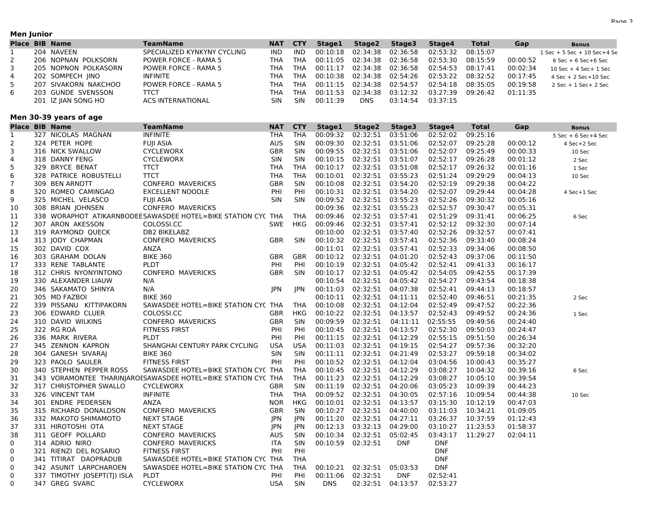#### **Men Junior**

|    | <b>Place BIB Name</b> | TeamName                    | <b>NAT</b> | <b>CTY</b> | <b>Stage1</b>                | Stage2     | Stage3                                 | Stage4   | <b>Total</b> | Gap      | <b>Bonus</b>                    |
|----|-----------------------|-----------------------------|------------|------------|------------------------------|------------|----------------------------------------|----------|--------------|----------|---------------------------------|
|    | 204 NAVEEN            | SPECIALIZED KYNKYNY CYCLING | IND.       | IND.       |                              |            | 00:10:18  02:34:38  02:36:58           | 02:53:32 | 08:15:07     |          | $1$ Sec + 5 Sec + 10 Sec + 4 Se |
|    | 206 NOPNAN POLKSORN   | POWER FORCE - RAMA 5        | THA        | THA        |                              |            | 00:11:05  02:34:38  02:36:58  02:53:30 |          | 08:15:59     | 00:00:52 | $6$ Sec $+$ $6$ Sec $+$ $6$ Sec |
|    | 205 NOPNON POLKASORN  | <b>POWER FORCE - RAMA 5</b> | THA        | THA        |                              |            | 00:11:17  02:34:38  02:36:58           | 02:54:53 | 08:17:41     | 00:02:34 | $10$ Sec + 4 Sec + 1 Sec        |
| 4  | 202 SOMPECH IINO      | INFINITE                    | THA        | THA        |                              |            | 00:10:38  02:34:38  02:54:26  02:53:22 |          | 08:32:52     | 00:17:45 | $4$ Sec + 2 Sec+10 Sec          |
| 5. | 207 SIVAKORN NAKCHOO  | <b>POWER FORCE - RAMA 5</b> | THA        | THA        | 00:11:15  02:34:38  02:54:57 |            |                                        | 02:54:18 | 08:35:05     | 00:19:58 | $2$ Sec + $1$ Sec + $2$ Sec     |
| 6  | 203 GUNDE SVENSSON    | TTCT                        | ТНА        | THA        | 00:11:53  02:34:38  03:12:32 |            |                                        | 03:27:39 | 09:26:42     | 01:11:35 |                                 |
|    | 201 IZ JIAN SONG HO   | ACS INTERNATIONAL           | <b>SIN</b> | <b>SIN</b> | 00:11:39                     | <b>DNS</b> | 03:14:54                               | 03:37:15 |              |          |                                 |

#### **Men 30-39 years of age**

|                | <b>Place BIB Name</b>       | <b>TeamName</b>                                               | <b>NAT</b> | <b>CTY</b> | Stage1            | Stage2            | Stage3     | Stage4     | <b>Total</b> | Gap      | <b>Bonus</b>            |
|----------------|-----------------------------|---------------------------------------------------------------|------------|------------|-------------------|-------------------|------------|------------|--------------|----------|-------------------------|
| 1              | 327 NICOLAS MAGNAN          | <b>INFINITE</b>                                               | <b>THA</b> | <b>THA</b> |                   | 00:09:32 02:32:51 | 03:51:06   | 02:52:02   | 09:25:16     |          | $5$ Sec + 6 Sec + 4 Sec |
| $\overline{2}$ | 324 PETER HOPE              | <b>FUJI ASIA</b>                                              | <b>AUS</b> | SIN        | 00:09:30          | 02:32:51          | 03:51:06   | 02:52:07   | 09:25:28     | 00:00:12 | 4 Sec+2 Sec             |
| 3              | 316 NICK SWALLOW            | <b>CYCLEWORX</b>                                              | <b>GBR</b> | <b>SIN</b> | 00:09:55          | 02:32:51          | 03:51:06   | 02:52:07   | 09:25:49     | 00:00:33 | 10 Sec                  |
| 4              | 318 DANNY FENG              | <b>CYCLEWORX</b>                                              | <b>SIN</b> | <b>SIN</b> | 00:10:15          | 02:32:51          | 03:51:07   | 02:52:17   | 09:26:28     | 00:01:12 | 2 Sec                   |
| 5              | 329 BRYCE BENAT             | <b>TTCT</b>                                                   | <b>THA</b> | THA        | 00:10:17          | 02:32:51          | 03:51:08   | 02:52:17   | 09:26:32     | 00:01:16 | 1 Sec                   |
| 6              | 328 PATRICE ROBUSTELLI      | <b>TTCT</b>                                                   | <b>THA</b> | <b>THA</b> | 00:10:01          | 02:32:51          | 03:55:23   | 02:51:24   | 09:29:29     | 00:04:13 | 10 Sec                  |
| $\overline{7}$ | 309 BEN ARNOTT              | CONFERO MAVERICKS                                             | GBR        | SIN        | 00:10:08          | 02:32:51          | 03:54:20   | 02:52:19   | 09:29:38     | 00:04:22 |                         |
| 8              | 320 ROMEO CAMINGAO          | <b>EXCELLENT NOODLE</b>                                       | PHI        | PHI        |                   | 00:10:31 02:32:51 | 03:54:20   | 02:52:07   | 09:29:44     | 00:04:28 | 4 Sec+1 Sec             |
| 9              | 325 MICHEL VELASCO          | <b>FUJI ASIA</b>                                              | <b>SIN</b> | <b>SIN</b> | 00:09:52          | 02:32:51          | 03:55:23   | 02:52:26   | 09:30:32     | 00:05:16 |                         |
| 10             | 308 BRIAN JOHNSEN           | <b>CONFERO MAVERICKS</b>                                      |            |            | 00:09:36          | 02:32:51          | 03:55:23   | 02:52:57   | 09:30:47     | 00:05:31 |                         |
| 11             |                             | 338 WORAPHOT ATIKARNBODEESAWASDEE HOTEL=BIKE STATION CYC THA  |            | THA        | 00:09:46          | 02:32:51          | 03:57:41   | 02:51:29   | 09:31:41     | 00:06:25 | 6 Sec                   |
| 12             | 307 ARON AKESSON            | COLOSSI.CC                                                    | <b>SWE</b> | <b>HKG</b> | 00:09:46          | 02:32:51          | 03:57:41   | 02:52:12   | 09:32:30     | 00:07:14 |                         |
| 13             | 319 RAYMOND QUECK           | DB2 BIKELABZ                                                  |            |            | 00:10:00          | 02:32:51          | 03:57:40   | 02:52:26   | 09:32:57     | 00:07:41 |                         |
| 14             | 313 JODY CHAPMAN            | CONFERO MAVERICKS                                             | GBR        | <b>SIN</b> | 00:10:32 02:32:51 |                   | 03:57:41   | 02:52:36   | 09:33:40     | 00:08:24 |                         |
| 15             | 302 DAVID COX               | ANZA                                                          |            |            | 00:11:01          | 02:32:51          | 03:57:41   | 02:52:33   | 09:34:06     | 00:08:50 |                         |
| 16             | 303 GRAHAM DOLAN            | <b>BIKE 360</b>                                               | GBR        | <b>GBR</b> | 00:10:12          | 02:32:51          | 04:01:20   | 02:52:43   | 09:37:06     | 00:11:50 |                         |
| 17             | 333 RENE TABLANTE           | PLDT                                                          | PHI        | PHI        | 00:10:19          | 02:32:51          | 04:05:42   | 02:52:41   | 09:41:33     | 00:16:17 |                         |
| 18             | 312 CHRIS NYONYINTONO       | <b>CONFERO MAVERICKS</b>                                      | <b>GBR</b> | <b>SIN</b> | 00:10:17          | 02:32:51          | 04:05:42   | 02:54:05   | 09:42:55     | 00:17:39 |                         |
| 19             | 330 ALEXANDER LIAUW         | N/A                                                           |            |            | 00:10:54          | 02:32:51          | 04:05:42   | 02:54:27   | 09:43:54     | 00:18:38 |                         |
| 20             | 346 SAKAMATO SHINYA         | N/A                                                           | JPN        | <b>JPN</b> | 00:11:03          | 02:32:51          | 04:07:38   | 02:52:41   | 09:44:13     | 00:18:57 |                         |
| 21             | 305 MD FAZBOI               | <b>BIKE 360</b>                                               |            |            | 00:10:11          | 02:32:51          | 04:11:11   | 02:52:40   | 09:46:51     | 00:21:35 | 2 Sec                   |
| 22             | 339 PISSANU KITTIPAKORN     | SAWASDEE HOTEL=BIKE STATION CYC THA                           |            | THA        | 00:10:08          | 02:32:51          | 04:12:04   | 02:52:49   | 09:47:52     | 00:22:36 |                         |
| 23             | 306 EDWARD CLUER            | COLOSSI.CC                                                    | GBR        | <b>HKG</b> | 00:10:22          | 02:32:51          | 04:13:57   | 02:52:43   | 09:49:52     | 00:24:36 | 1 Sec                   |
| 24             | 310 DAVID WILKINS           | <b>CONFERO MAVERICKS</b>                                      | <b>GBR</b> | <b>SIN</b> | 00:09:59          | 02:32:51          | 04:11:11   | 02:55:55   | 09:49:56     | 00:24:40 |                         |
| 25             | 322 RG ROA                  | <b>FITNESS FIRST</b>                                          | PHI        | PHI        | 00:10:45          | 02:32:51          | 04:13:57   | 02:52:30   | 09:50:03     | 00:24:47 |                         |
| 26             | 336 MARK RIVERA             | PLDT                                                          | PHI        | PHI        | 00:11:15          | 02:32:51          | 04:12:29   | 02:55:15   | 09:51:50     | 00:26:34 |                         |
| 27             | 345 ZENNON KAPRON           | SHANGHAI CENTURY PARK CYCLING                                 | <b>USA</b> | <b>USA</b> | 00:11:03          | 02:32:51          | 04:19:15   | 02:54:27   | 09:57:36     | 00:32:20 |                         |
| 28             | 304 GANESH SIVARAI          | <b>BIKE 360</b>                                               | SIN        | <b>SIN</b> |                   | 00:11:11 02:32:51 | 04:21:49   | 02:53:27   | 09:59:18     | 00:34:02 |                         |
| 29             | 323 PAOLO SAULER            | <b>FITNESS FIRST</b>                                          | PHI        | PHI        | 00:10:52          | 02:32:51          | 04:12:04   | 03:04:56   | 10:00:43     | 00:35:27 |                         |
| 30             | 340 STEPHEN PEPPER ROSS     | SAWASDEE HOTEL=BIKE STATION CYC THA                           |            | <b>THA</b> | 00:10:45          | 02:32:51          | 04:12:29   | 03:08:27   | 10:04:32     | 00:39:16 | 6 Sec                   |
| 31             |                             | 343 VORAMONTEE THARINJAROESAWASDEE HOTEL=BIKE STATION CYC THA |            | THA        | 00:11:23          | 02:32:51          | 04:12:29   | 03:08:27   | 10:05:10     | 00:39:54 |                         |
| 32             | 317 CHRISTOPHER SWALLO      | <b>CYCLEWORX</b>                                              | GBR        | <b>SIN</b> | 00:11:19          | 02:32:51          | 04:20:06   | 03:05:23   | 10:09:39     | 00:44:23 |                         |
| 33             | 326 VINCENT TAM             | <b>INFINITE</b>                                               | <b>THA</b> | THA        | 00:09:52          | 02:32:51          | 04:30:05   | 02:57:16   | 10:09:54     | 00:44:38 | 10 Sec                  |
| 34             | 301 ENDRE PEDERSEN          | <b>ANZA</b>                                                   | <b>NOR</b> | <b>HKG</b> | 00:10:01          | 02:32:51          | 04:13:57   | 03:15:30   | 10:12:19     | 00:47:03 |                         |
| 35             | 315 RICHARD DONALDSON       | <b>CONFERO MAVERICKS</b>                                      | <b>GBR</b> | <b>SIN</b> | 00:10:27          | 02:32:51          | 04:40:00   | 03:11:03   | 10:34:21     | 01:09:05 |                         |
| 36             | 332 MAKOTO SHIMAMOTO        | <b>NEXT STAGE</b>                                             | JPN        | JPN        | 00:11:20          | 02:32:51          | 04:27:11   | 03:26:37   | 10:37:59     | 01:12:43 |                         |
| 37             | 331 HIROTOSHI OTA           | <b>NEXT STAGE</b>                                             | JPN        | JPN        | 00:12:13          | 03:32:13          | 04:29:00   | 03:10:27   | 11:23:53     | 01:58:37 |                         |
| 38             | 311 GEOFF POLLARD           | CONFERO MAVERICKS                                             | <b>AUS</b> | SIN        | 00:10:34          | 02:32:51          | 05:02:45   | 03:43:17   | 11:29:27     | 02:04:11 |                         |
| 0              | 314 ADRIO NIRO              | <b>CONFERO MAVERICKS</b>                                      | <b>ITA</b> | <b>SIN</b> |                   | 00:10:59 02:32:51 | <b>DNF</b> | <b>DNF</b> |              |          |                         |
| 0              | 321 RIENZI DEL ROSARIO      | <b>FITNESS FIRST</b>                                          | PHI        | PHI        |                   |                   |            | <b>DNF</b> |              |          |                         |
| 0              | 341 TITIRAT DAOPRADUB       | SAWASDEE HOTEL=BIKE STATION CYC THA                           |            | THA        |                   |                   |            | <b>DNF</b> |              |          |                         |
| 0              | 342 ASUNIT LARPCHAROEN      | SAWASDEE HOTEL=BIKE STATION CYC THA                           |            | THA        |                   | 00:10:21 02:32:51 | 05:03:53   | <b>DNF</b> |              |          |                         |
| 0              | 337 TIMOTHY JOSEPT(TJ) ISLA | <b>PLDT</b>                                                   | PHI        | PHI        | 00:11:06          | 02:32:51          | <b>DNF</b> | 02:52:41   |              |          |                         |
| 0              | 347 GREG SVARC              | <b>CYCLEWORX</b>                                              | <b>USA</b> | <b>SIN</b> | <b>DNS</b>        | 02:32:51          | 04:13:57   | 02:53:27   |              |          |                         |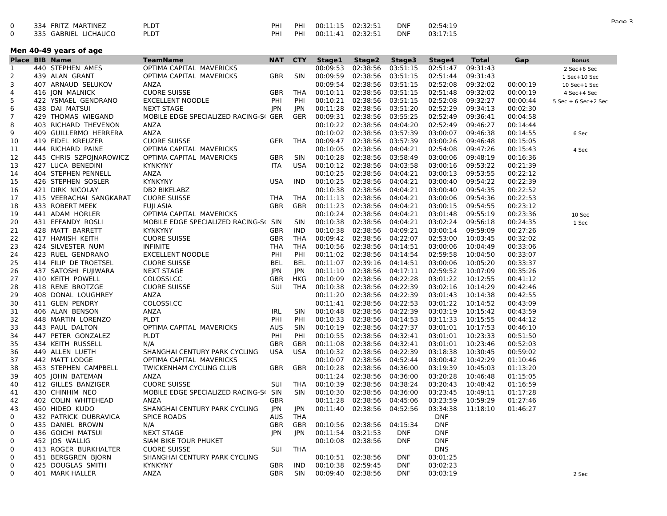| 334 FRITZ MARTINEZ   | <b>PLDT</b> | PHI |  | DNF        | 02:54:19 |
|----------------------|-------------|-----|--|------------|----------|
| 335 GABRIEL LICHAUCO | PLDT        | PHI |  | <b>DNF</b> | 03:17:15 |

|                | Men 40-49 years of age |                         |                                       |            |            |          |          |            |            |          |          |                     |  |  |
|----------------|------------------------|-------------------------|---------------------------------------|------------|------------|----------|----------|------------|------------|----------|----------|---------------------|--|--|
|                |                        | <b>Place BIB Name</b>   | <b>TeamName</b>                       | <b>NAT</b> | <b>CTY</b> | Stage1   | Stage2   | Stage3     | Stage4     | Total    | Gap      | <b>Bonus</b>        |  |  |
| 1              |                        | 440 STEPHEN AMES        | OPTIMA CAPITAL MAVERICKS              |            |            | 00:09:53 | 02:38:56 | 03:51:15   | 02:51:47   | 09:31:43 |          | 2 Sec+6 Sec         |  |  |
| 2              |                        | 439 ALAN GRANT          | OPTIMA CAPITAL MAVERICKS              | <b>GBR</b> | <b>SIN</b> | 00:09:59 | 02:38:56 | 03:51:15   | 02:51:44   | 09:31:43 |          | 1 Sec+10 Sec        |  |  |
| 3              |                        | 407 ARNAUD SELUKOV      | <b>ANZA</b>                           |            |            | 00:09:54 | 02:38:56 | 03:51:15   | 02:52:08   | 09:32:02 | 00:00:19 | 10 Sec+1 Sec        |  |  |
| 4              |                        | 416 JON MALNICK         | <b>CUORE SUISSE</b>                   | <b>GBR</b> | THA        | 00:10:11 | 02:38:56 | 03:51:15   | 02:51:48   | 09:32:02 | 00:00:19 | 4 Sec+4 Sec         |  |  |
| 5              |                        | 422 YSMAEL GENDRANO     | <b>EXCELLENT NOODLE</b>               | PHI        | PHI        | 00:10:21 | 02:38:56 | 03:51:15   | 02:52:08   | 09:32:27 | 00:00:44 | 5 Sec + 6 Sec+2 Sec |  |  |
| 6              |                        | 438 DAI MATSUI          | <b>NEXT STAGE</b>                     | JPN        | JPN        | 00:11:28 | 02:38:56 | 03:51:20   | 02:52:29   | 09:34:13 | 00:02:30 |                     |  |  |
| $\overline{7}$ |                        | 429 THOMAS WIEGAND      | MOBILE EDGE SPECIALIZED RACING-SI GER |            | GER        | 00:09:31 | 02:38:56 | 03:55:25   | 02:52:49   | 09:36:41 | 00:04:58 |                     |  |  |
| 8              |                        | 403 RICHARD THEVENON    | ANZA                                  |            |            | 00:10:22 | 02:38:56 | 04:04:20   | 02:52:49   | 09:46:27 | 00:14:44 |                     |  |  |
| 9              |                        | 409 GUILLERMO HERRERA   | ANZA                                  |            |            | 00:10:02 | 02:38:56 | 03:57:39   | 03:00:07   | 09:46:38 | 00:14:55 | 6 Sec               |  |  |
| 10             |                        | 419 FIDEL KREUZER       | <b>CUORE SUISSE</b>                   | GER        | THA        | 00:09:47 | 02:38:56 | 03:57:39   | 03:00:26   | 09:46:48 | 00:15:05 |                     |  |  |
| 11             |                        | 444 RICHARD PAINE       | OPTIMA CAPITAL MAVERICKS              |            |            | 00:10:05 | 02:38:56 | 04:04:21   | 02:54:08   | 09:47:26 | 00:15:43 | 4 Sec               |  |  |
| 12             |                        | 445 CHRIS SZPOJNAROWICZ | OPTIMA CAPITAL MAVERICKS              | <b>GBR</b> | <b>SIN</b> | 00:10:28 | 02:38:56 | 03:58:49   | 03:00:06   | 09:48:19 | 00:16:36 |                     |  |  |
| 13             |                        | 427 LUCA BENEDINI       | <b>KYNKYNY</b>                        | <b>ITA</b> | <b>USA</b> | 00:10:12 | 02:38:56 | 04:03:58   | 03:00:16   | 09:53:22 | 00:21:39 |                     |  |  |
| 14             |                        | 404 STEPHEN PENNELL     | ANZA                                  |            |            | 00:10:25 | 02:38:56 | 04:04:21   | 03:00:13   | 09:53:55 | 00:22:12 |                     |  |  |
| 15             |                        | 426 STEPHEN SOSLER      | <b>KYNKYNY</b>                        | <b>USA</b> | IND        | 00:10:25 | 02:38:56 | 04:04:21   | 03:00:40   | 09:54:22 | 00:22:39 |                     |  |  |
| 16             |                        | 421 DIRK NICOLAY        | DB2 BIKELABZ                          |            |            | 00:10:38 | 02:38:56 | 04:04:21   | 03:00:40   | 09:54:35 | 00:22:52 |                     |  |  |
| 17             |                        | 415 VEERACHAI SANGKARAT | <b>CUORE SUISSE</b>                   | THA        | THA        | 00:11:13 | 02:38:56 | 04:04:21   | 03:00:06   | 09:54:36 | 00:22:53 |                     |  |  |
| 18             |                        | 433 ROBERT MEEK         | <b>FUJI ASIA</b>                      | <b>GBR</b> | <b>GBR</b> | 00:11:23 | 02:38:56 | 04:04:21   | 03:00:15   | 09:54:55 | 00:23:12 |                     |  |  |
| 19             |                        | 441 ADAM HORLER         | OPTIMA CAPITAL MAVERICKS              |            |            | 00:10:24 | 02:38:56 | 04:04:21   | 03:01:48   | 09:55:19 | 00:23:36 | 10 Sec              |  |  |
| 20             |                        | 431 EFFANDY ROSLI       | MOBILE EDGE SPECIALIZED RACING-SI     | SIN        | <b>SIN</b> | 00:10:38 | 02:38:56 | 04:04:21   | 03:02:24   | 09:56:18 | 00:24:35 | 1 Sec               |  |  |
| 21             |                        | 428 MATT BARRETT        | <b>KYNKYNY</b>                        | <b>GBR</b> | IND        | 00:10:38 | 02:38:56 | 04:09:21   | 03:00:14   | 09:59:09 | 00:27:26 |                     |  |  |
| 22             |                        | 417 HAMISH KEITH        | <b>CUORE SUISSE</b>                   | <b>GBR</b> | THA        | 00:09:42 | 02:38:56 | 04:22:07   | 02:53:00   | 10:03:45 | 00:32:02 |                     |  |  |
| 23             |                        | 424 SILVESTER NUM       | <b>INFINITE</b>                       | <b>THA</b> | <b>THA</b> | 00:10:56 | 02:38:56 | 04:14:51   | 03:00:06   | 10:04:49 | 00:33:06 |                     |  |  |
| 24             |                        | 423 RUEL GENDRANO       | <b>EXCELLENT NOODLE</b>               | PHI        | PHI        | 00:11:02 | 02:38:56 | 04:14:54   | 02:59:58   | 10:04:50 | 00:33:07 |                     |  |  |
| 25             |                        | 414 FILIP DE TROETSEL   | <b>CUORE SUISSE</b>                   | <b>BEL</b> | <b>BEL</b> | 00:11:07 | 02:39:16 | 04:14:51   | 03:00:06   | 10:05:20 | 00:33:37 |                     |  |  |
| 26             |                        | 437 SATOSHI FUJIWARA    | <b>NEXT STAGE</b>                     | <b>JPN</b> | JPN        | 00:11:10 | 02:38:56 | 04:17:11   | 02:59:52   | 10:07:09 | 00:35:26 |                     |  |  |
| 27             |                        | 410 KEITH POWELL        | COLOSSI.CC                            | GBR        | <b>HKG</b> | 00:10:09 | 02:38:56 | 04:22:28   | 03:01:22   | 10:12:55 | 00:41:12 |                     |  |  |
| 28             |                        | 418 RENE BROTZGE        | <b>CUORE SUISSE</b>                   | SUI        | THA        | 00:10:38 | 02:38:56 | 04:22:39   | 03:02:16   | 10:14:29 | 00:42:46 |                     |  |  |
| 29             |                        | 408 DONAL LOUGHREY      | ANZA                                  |            |            | 00:11:20 | 02:38:56 | 04:22:39   | 03:01:43   | 10:14:38 | 00:42:55 |                     |  |  |
| 30             |                        | 411 GLEN PENDRY         | COLOSSI.CC                            |            |            | 00:11:41 | 02:38:56 | 04:22:53   | 03:01:22   | 10:14:52 | 00:43:09 |                     |  |  |
| 31             |                        | 406 ALAN BENSON         | ANZA                                  | <b>IRL</b> | <b>SIN</b> | 00:10:48 | 02:38:56 | 04:22:39   | 03:03:19   | 10:15:42 | 00:43:59 |                     |  |  |
| 32             |                        | 448 MARTIN LORENZO      | <b>PLDT</b>                           | PHI        | PHI        | 00:10:33 | 02:38:56 | 04:14:53   | 03:11:33   | 10:15:55 | 00:44:12 |                     |  |  |
| 33             |                        | 443 PAUL DALTON         | OPTIMA CAPITAL MAVERICKS              | <b>AUS</b> | <b>SIN</b> | 00:10:19 | 02:38:56 | 04:27:37   | 03:01:01   | 10:17:53 | 00:46:10 |                     |  |  |
| 34             |                        | 447 PETER GONZALEZ      | <b>PLDT</b>                           | PHI        | PHI        | 00:10:55 | 02:38:56 | 04:32:41   | 03:01:01   | 10:23:33 | 00:51:50 |                     |  |  |
| 35             |                        | 434 KEITH RUSSELL       | N/A                                   | <b>GBR</b> | <b>GBR</b> | 00:11:08 | 02:38:56 | 04:32:41   | 03:01:01   | 10:23:46 | 00:52:03 |                     |  |  |
| 36             |                        | 449 ALLEN LUETH         | SHANGHAI CENTURY PARK CYCLING         | <b>USA</b> | <b>USA</b> | 00:10:32 | 02:38:56 | 04:22:39   | 03:18:38   | 10:30:45 | 00:59:02 |                     |  |  |
| 37             |                        | 442 MATT LODGE          | OPTIMA CAPITAL MAVERICKS              |            |            | 00:10:07 | 02:38:56 | 04:52:44   | 03:00:42   | 10:42:29 | 01:10:46 |                     |  |  |
| 38             |                        | 453 STEPHEN CAMPBELL    | TWICKENHAM CYCLING CLUB               | <b>GBR</b> | <b>GBR</b> | 00:10:28 | 02:38:56 | 04:36:00   | 03:19:39   | 10:45:03 | 01:13:20 |                     |  |  |
| 39             |                        | 405 JOHN BATEMAN        | ANZA                                  |            |            | 00:11:24 | 02:38:56 | 04:36:00   | 03:20:28   | 10:46:48 | 01:15:05 |                     |  |  |
| 40             |                        | 412 GILLES BANZIGER     | <b>CUORE SUISSE</b>                   | <b>SUI</b> | THA        | 00:10:39 | 02:38:56 | 04:38:24   | 03:20:43   | 10:48:42 | 01:16:59 |                     |  |  |
| 41             |                        | 430 CHINHIM NEO         | MOBILE EDGE SPECIALIZED RACING-S      | SIN        | <b>SIN</b> | 00:10:30 | 02:38:56 | 04:36:00   | 03:23:45   | 10:49:11 | 01:17:28 |                     |  |  |
| 42             |                        | 402 COLIN WHITEHEAD     | ANZA                                  | <b>GBR</b> |            | 00:11:28 | 02:38:56 | 04:45:06   | 03:23:59   | 10:59:29 | 01:27:46 |                     |  |  |
| 43             |                        | 450 HIDEO KUDO          | SHANGHAI CENTURY PARK CYCLING         | JPN        | JPN        | 00:11:40 | 02:38:56 | 04:52:56   | 03:34:38   | 11:18:10 | 01:46:27 |                     |  |  |
| 0              |                        | 432 PATRICK DUBRAVICA   | <b>SPICE ROADS</b>                    | <b>AUS</b> | THA        |          |          |            | <b>DNF</b> |          |          |                     |  |  |
| 0              |                        | 435 DANIEL BROWN        | N/A                                   | <b>GBR</b> | <b>GBR</b> | 00:10:56 | 02:38:56 | 04:15:34   | <b>DNF</b> |          |          |                     |  |  |
| 0              |                        | 436 GOICHI MATSUI       | <b>NEXT STAGE</b>                     | JPN        |            | 00:11:54 | 03:21:53 | <b>DNF</b> | <b>DNF</b> |          |          |                     |  |  |
| 0              |                        | 452 JOS WALLIG          | SIAM BIKE TOUR PHUKET                 |            | JPN        | 00:10:08 | 02:38:56 | <b>DNF</b> | <b>DNF</b> |          |          |                     |  |  |
| 0              |                        | 413 ROGER BURKHALTER    | <b>CUORE SUISSE</b>                   | <b>SUI</b> | THA        |          |          |            | <b>DNS</b> |          |          |                     |  |  |
| 0              |                        | 451 BERGGREN BJORN      | SHANGHAI CENTURY PARK CYCLING         |            |            | 00:10:51 | 02:38:56 | <b>DNF</b> | 03:01:25   |          |          |                     |  |  |
| 0              |                        | 425 DOUGLAS SMITH       | <b>KYNKYNY</b>                        | <b>GBR</b> | <b>IND</b> | 00:10:38 | 02:59:45 | <b>DNF</b> | 03:02:23   |          |          |                     |  |  |
| 0              |                        |                         |                                       | <b>GBR</b> | <b>SIN</b> | 00:09:40 | 02:38:56 | <b>DNF</b> | 03:03:19   |          |          |                     |  |  |
|                |                        | 401 MARK HALLER         | ANZA                                  |            |            |          |          |            |            |          |          | 2 Sec               |  |  |